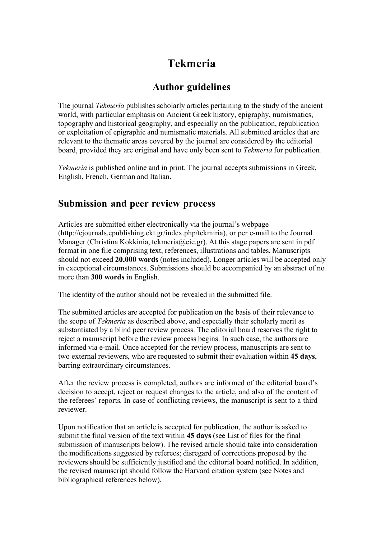# **Tekmeria**

# **Author guidelines**

The journal *Tekmeria* publishes scholarly articles pertaining to the study of the ancient world, with particular emphasis on Ancient Greek history, epigraphy, numismatics, topography and historical geography, and especially on the publication, republication or exploitation of epigraphic and numismatic materials. All submitted articles that are relevant to the thematic areas covered by the journal are considered by the editorial board, provided they are original and have only been sent to *Tekmeria* for publication*.*

*Tekmeria* is published online and in print. The journal accepts submissions in Greek, English, French, German and Italian.

## **Submission and peer review process**

Articles are submitted either electronically via the journal's webpage (http://ejournals.epublishing.ekt.gr/index.php/tekmiria), or per e-mail to the Journal Manager (Christina Kokkinia, tekmeria@eie.gr). At this stage papers are sent in pdf format in one file comprising text, references, illustrations and tables. Manuscripts should not exceed **20,000 words** (notes included). Longer articles will be accepted only in exceptional circumstances. Submissions should be accompanied by an abstract of no more than **300 words** in English.

The identity of the author should not be revealed in the submitted file.

The submitted articles are accepted for publication on the basis of their relevance to the scope of *Tekmeria* as described above, and especially their scholarly merit as substantiated by a blind peer review process. The editorial board reserves the right to reject a manuscript before the review process begins. In such case, the authors are informed via e-mail. Once accepted for the review process, manuscripts are sent to two external reviewers, who are requested to submit their evaluation within **45 days**, barring extraordinary circumstances.

After the review process is completed, authors are informed of the editorial board's decision to accept, reject or request changes to the article, and also of the content of the referees' reports. In case of conflicting reviews, the manuscript is sent to a third reviewer.

Upon notification that an article is accepted for publication, the author is asked to submit the final version of the text within **45 days** (see List of files for the final submission of manuscripts below). The revised article should take into consideration the modifications suggested by referees; disregard of corrections proposed by the reviewers should be sufficiently justified and the editorial board notified. In addition, the revised manuscript should follow the Harvard citation system (see Notes and bibliographical references below).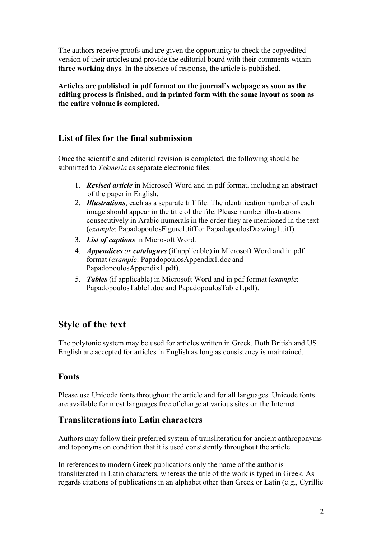The authors receive proofs and are given the opportunity to check the copyedited version of their articles and provide the editorial board with their comments within **three working days**. In the absence of response, the article is published.

**Articles are published in pdf format on the journal's webpage as soon as the editing process is finished, and in printed form with the same layout as soon as the entire volume is completed.**

## **List of files for the final submission**

Once the scientific and editorial revision is completed, the following should be submitted to *Tekmeria* as separate electronic files:

- 1. *Revised article* in Microsoft Word and in pdf format, including an **abstract** of the paper in English.
- 2. *Illustrations*, each as a separate tiff file. The identification number of each image should appear in the title of the file. Please number illustrations consecutively in Arabic numerals in the order they are mentioned in the text (*example*: PapadopoulosFigure1.tiff or PapadopoulosDrawing1.tiff).
- 3. *List of captions* in Microsoft Word.
- 4. *Appendices or catalogues* (if applicable) in Microsoft Word and in pdf format (*example*: PapadopoulosAppendix1.doc and PapadopoulosAppendix1.pdf).
- 5. *Tables* (if applicable) in Microsoft Word and in pdf format (*example*: PapadopoulosTable1.doc and PapadopoulosTable1.pdf).

## **Style of the text**

The polytonic system may be used for articles written in Greek. Both British and US English are accepted for articles in English as long as consistency is maintained.

#### **Fonts**

Please use Unicode fonts throughout the article and for all languages. Unicode fonts are available for most languages free of charge at various sites on the Internet.

#### **Transliterations into Latin characters**

Authors may follow their preferred system of transliteration for ancient anthroponyms and toponyms on condition that it is used consistently throughout the article.

In references to modern Greek publications only the name of the author is transliterated in Latin characters, whereas the title of the work is typed in Greek. As regards citations of publications in an alphabet other than Greek or Latin (e.g., Cyrillic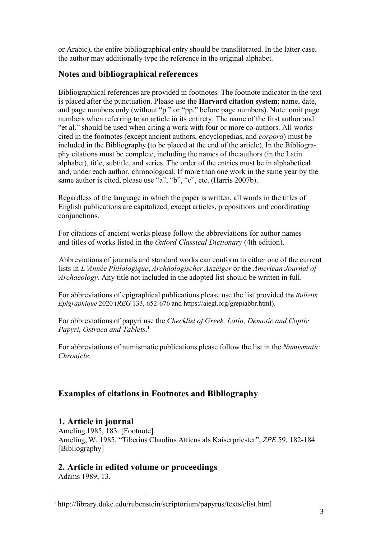or Arabic), the entire bibliographical entry should be transliterated. In the latter case, the author may additionally type the reference in the original alphabet.

## **Notes and bibliographical references**

Bibliographical references are provided in footnotes. The footnote indicator in the text is placed after the punctuation. Please use the **Harvard citation system**: name, date, and page numbers only (without "p." or "pp." before page numbers). Note: omit page numbers when referring to an article in its entirety. The name of the first author and "et al." should be used when citing a work with four or more co-authors. All works cited in the footnotes (except ancient authors, encyclopedias, and *corpora*) must be included in the Bibliography (to be placed at the end of the article). In the Bibliography citations must be complete, including the names of the authors (in the Latin alphabet), title, subtitle, and series. The order of the entries must be in alphabetical and, under each author, chronological. If more than one work in the same year by the same author is cited, please use "a", "b", "c", etc. (Harris 2007b).

Regardless of the language in which the paper is written, all words in the titles of English publications are capitalized, except articles, prepositions and coordinating conjunctions.

For citations of ancient works please follow the abbreviations for author names and titles of works listed in the *Oxford Classical Dictionary* (4th edition).

Abbreviations of journals and standard works can conform to either one of the current lists in *L'Année Philologique*, *Archäologischer Anzeiger* or the *American Journal of Archaeology*. Any title not included in the adopted list should be written in full.

For abbreviations of epigraphical publications please use the list provided the *Bulletin Épigraphique* 2020 (*REG* 133, 652-676 and https://aiegl.org/grepiabbr.html).

For abbreviations of papyri use the *Checklist of Greek, Latin, Demotic and Coptic Papyri, Ostraca and Tablets*. 1

For abbreviations of numismatic publications please follow the list in the *Numismatic Chronicle*.

## **Examples of citations in Footnotes and Bibliography**

## **1. Article in journal**

Ameling 1985, 183. [Footnote] Ameling, W. 1985. "Tiberius Claudius Atticus als Kaiserpriester", *ZPE* 59, 182-184. [Bibliography]

## **2. Article in edited volume or proceedings**

Adams 1989, 13.

 <sup>1</sup> http://library.duke.edu/rubenstein/scriptorium/papyrus/texts/clist.html